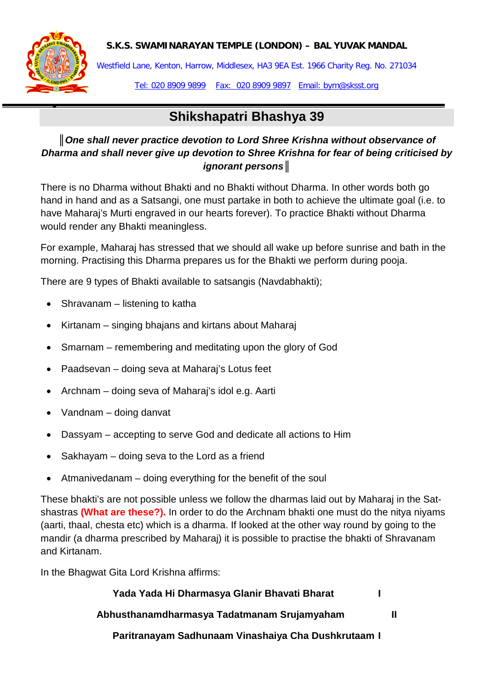#### **S.K.S. SWAMINARAYAN TEMPLE (LONDON) – BAL YUVAK MANDAL**



•

Westfield Lane, Kenton, Harrow, Middlesex, HA3 9EA Est. 1966 Charity Reg. No. 271034

Tel: 020 8909 9899 Fax: 020 8909 9897 Email: bym@sksst.org

# **Shikshapatri Bhashya 39**

## ║*One shall never practice devotion to Lord Shree Krishna without observance of Dharma and shall never give up devotion to Shree Krishna for fear of being criticised by ignorant persons***║**

There is no Dharma without Bhakti and no Bhakti without Dharma. In other words both go hand in hand and as a Satsangi, one must partake in both to achieve the ultimate goal (i.e. to have Maharaj's Murti engraved in our hearts forever). To practice Bhakti without Dharma would render any Bhakti meaningless.

For example, Maharaj has stressed that we should all wake up before sunrise and bath in the morning. Practising this Dharma prepares us for the Bhakti we perform during pooja.

There are 9 types of Bhakti available to satsangis (Navdabhakti);

- Shravanam listening to katha
- Kirtanam singing bhajans and kirtans about Maharaj
- Smarnam remembering and meditating upon the glory of God
- Paadsevan doing seva at Maharaj's Lotus feet
- Archnam doing seva of Maharaj's idol e.g. Aarti
- Vandnam doing danvat
- Dassyam accepting to serve God and dedicate all actions to Him
- Sakhayam doing seva to the Lord as a friend
- Atmanivedanam doing everything for the benefit of the soul

These bhakti's are not possible unless we follow the dharmas laid out by Maharaj in the Satshastras **(What are these?).** In order to do the Archnam bhakti one must do the nitya niyams (aarti, thaal, chesta etc) which is a dharma. If looked at the other way round by going to the mandir (a dharma prescribed by Maharaj) it is possible to practise the bhakti of Shravanam and Kirtanam.

In the Bhagwat Gita Lord Krishna affirms:

| Yada Yada Hi Dharmasya Glanir Bhavati Bharat |  |
|----------------------------------------------|--|
| Abhusthanamdharmasya Tadatmanam Srujamyaham  |  |

**Paritranayam Sadhunaam Vinashaiya Cha Dushkrutaam I**